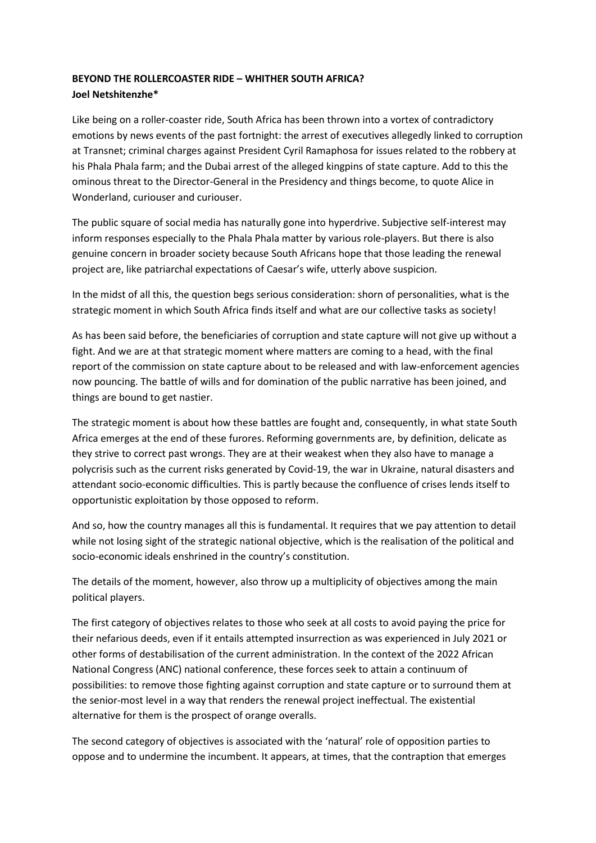## **BEYOND THE ROLLERCOASTER RIDE – WHITHER SOUTH AFRICA? Joel Netshitenzhe\***

Like being on a roller-coaster ride, South Africa has been thrown into a vortex of contradictory emotions by news events of the past fortnight: the arrest of executives allegedly linked to corruption at Transnet; criminal charges against President Cyril Ramaphosa for issues related to the robbery at his Phala Phala farm; and the Dubai arrest of the alleged kingpins of state capture. Add to this the ominous threat to the Director-General in the Presidency and things become, to quote Alice in Wonderland, curiouser and curiouser.

The public square of social media has naturally gone into hyperdrive. Subjective self-interest may inform responses especially to the Phala Phala matter by various role-players. But there is also genuine concern in broader society because South Africans hope that those leading the renewal project are, like patriarchal expectations of Caesar's wife, utterly above suspicion.

In the midst of all this, the question begs serious consideration: shorn of personalities, what is the strategic moment in which South Africa finds itself and what are our collective tasks as society!

As has been said before, the beneficiaries of corruption and state capture will not give up without a fight. And we are at that strategic moment where matters are coming to a head, with the final report of the commission on state capture about to be released and with law-enforcement agencies now pouncing. The battle of wills and for domination of the public narrative has been joined, and things are bound to get nastier.

The strategic moment is about how these battles are fought and, consequently, in what state South Africa emerges at the end of these furores. Reforming governments are, by definition, delicate as they strive to correct past wrongs. They are at their weakest when they also have to manage a polycrisis such as the current risks generated by Covid-19, the war in Ukraine, natural disasters and attendant socio-economic difficulties. This is partly because the confluence of crises lends itself to opportunistic exploitation by those opposed to reform.

And so, how the country manages all this is fundamental. It requires that we pay attention to detail while not losing sight of the strategic national objective, which is the realisation of the political and socio-economic ideals enshrined in the country's constitution.

The details of the moment, however, also throw up a multiplicity of objectives among the main political players.

The first category of objectives relates to those who seek at all costs to avoid paying the price for their nefarious deeds, even if it entails attempted insurrection as was experienced in July 2021 or other forms of destabilisation of the current administration. In the context of the 2022 African National Congress (ANC) national conference, these forces seek to attain a continuum of possibilities: to remove those fighting against corruption and state capture or to surround them at the senior-most level in a way that renders the renewal project ineffectual. The existential alternative for them is the prospect of orange overalls.

The second category of objectives is associated with the 'natural' role of opposition parties to oppose and to undermine the incumbent. It appears, at times, that the contraption that emerges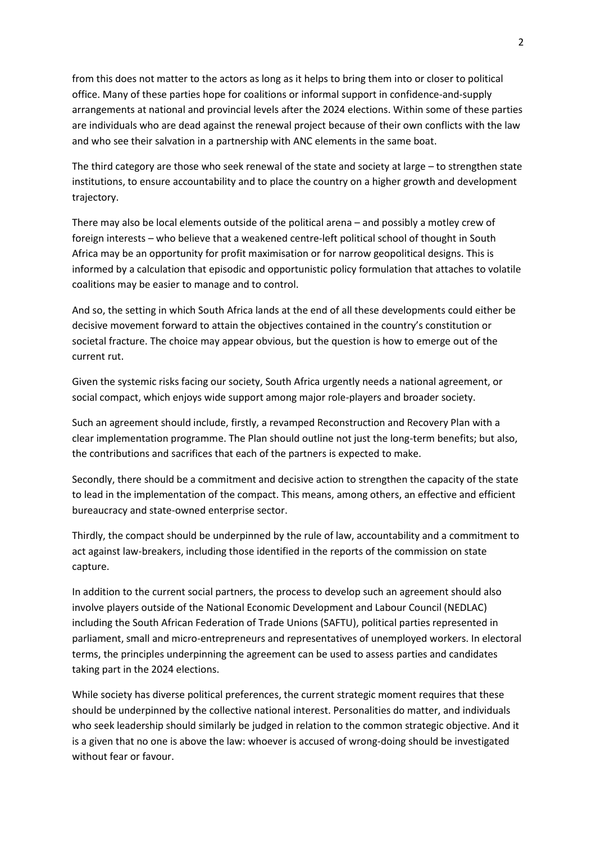from this does not matter to the actors as long as it helps to bring them into or closer to political office. Many of these parties hope for coalitions or informal support in confidence-and-supply arrangements at national and provincial levels after the 2024 elections. Within some of these parties are individuals who are dead against the renewal project because of their own conflicts with the law and who see their salvation in a partnership with ANC elements in the same boat.

The third category are those who seek renewal of the state and society at large – to strengthen state institutions, to ensure accountability and to place the country on a higher growth and development trajectory.

There may also be local elements outside of the political arena – and possibly a motley crew of foreign interests – who believe that a weakened centre-left political school of thought in South Africa may be an opportunity for profit maximisation or for narrow geopolitical designs. This is informed by a calculation that episodic and opportunistic policy formulation that attaches to volatile coalitions may be easier to manage and to control.

And so, the setting in which South Africa lands at the end of all these developments could either be decisive movement forward to attain the objectives contained in the country's constitution or societal fracture. The choice may appear obvious, but the question is how to emerge out of the current rut.

Given the systemic risks facing our society, South Africa urgently needs a national agreement, or social compact, which enjoys wide support among major role-players and broader society.

Such an agreement should include, firstly, a revamped Reconstruction and Recovery Plan with a clear implementation programme. The Plan should outline not just the long-term benefits; but also, the contributions and sacrifices that each of the partners is expected to make.

Secondly, there should be a commitment and decisive action to strengthen the capacity of the state to lead in the implementation of the compact. This means, among others, an effective and efficient bureaucracy and state-owned enterprise sector.

Thirdly, the compact should be underpinned by the rule of law, accountability and a commitment to act against law-breakers, including those identified in the reports of the commission on state capture.

In addition to the current social partners, the process to develop such an agreement should also involve players outside of the National Economic Development and Labour Council (NEDLAC) including the South African Federation of Trade Unions (SAFTU), political parties represented in parliament, small and micro-entrepreneurs and representatives of unemployed workers. In electoral terms, the principles underpinning the agreement can be used to assess parties and candidates taking part in the 2024 elections.

While society has diverse political preferences, the current strategic moment requires that these should be underpinned by the collective national interest. Personalities do matter, and individuals who seek leadership should similarly be judged in relation to the common strategic objective. And it is a given that no one is above the law: whoever is accused of wrong-doing should be investigated without fear or favour.